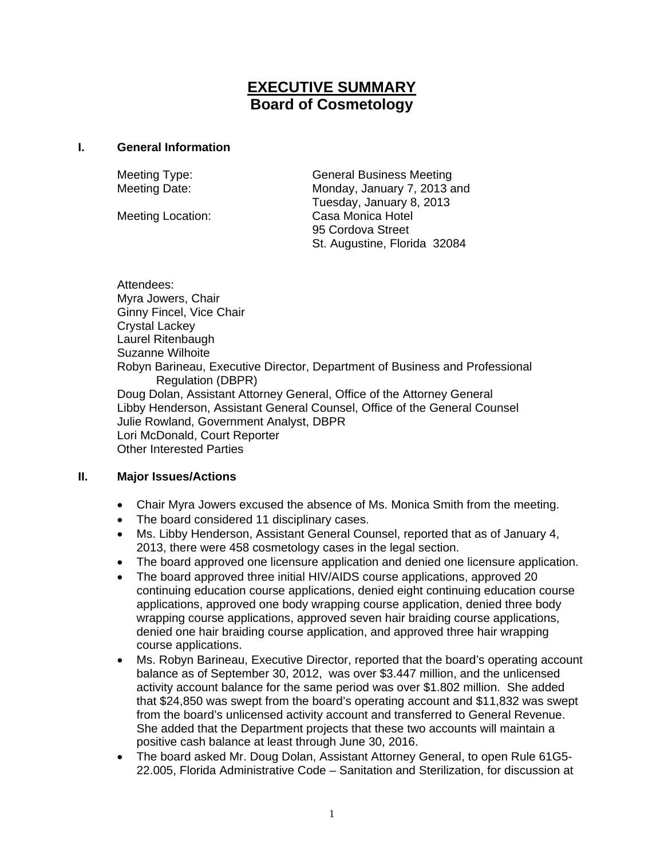# **EXECUTIVE SUMMARY Board of Cosmetology**

#### **I. General Information**

Meeting Type: General Business Meeting Meeting Date: Monday, January 7, 2013 and Tuesday, January 8, 2013 Meeting Location: Casa Monica Hotel 95 Cordova Street St. Augustine, Florida 32084

Attendees: Myra Jowers, Chair Ginny Fincel, Vice Chair Crystal Lackey Laurel Ritenbaugh Suzanne Wilhoite Robyn Barineau, Executive Director, Department of Business and Professional Regulation (DBPR) Doug Dolan, Assistant Attorney General, Office of the Attorney General Libby Henderson, Assistant General Counsel, Office of the General Counsel Julie Rowland, Government Analyst, DBPR Lori McDonald, Court Reporter Other Interested Parties

### **II. Major Issues/Actions**

- Chair Myra Jowers excused the absence of Ms. Monica Smith from the meeting.
- The board considered 11 disciplinary cases.
- Ms. Libby Henderson, Assistant General Counsel, reported that as of January 4, 2013, there were 458 cosmetology cases in the legal section.
- The board approved one licensure application and denied one licensure application.
- The board approved three initial HIV/AIDS course applications, approved 20 continuing education course applications, denied eight continuing education course applications, approved one body wrapping course application, denied three body wrapping course applications, approved seven hair braiding course applications, denied one hair braiding course application, and approved three hair wrapping course applications.
- Ms. Robyn Barineau, Executive Director, reported that the board's operating account balance as of September 30, 2012, was over \$3.447 million, and the unlicensed activity account balance for the same period was over \$1.802 million. She added that \$24,850 was swept from the board's operating account and \$11,832 was swept from the board's unlicensed activity account and transferred to General Revenue. She added that the Department projects that these two accounts will maintain a positive cash balance at least through June 30, 2016.
- The board asked Mr. Doug Dolan, Assistant Attorney General, to open Rule 61G5- 22.005, Florida Administrative Code – Sanitation and Sterilization, for discussion at